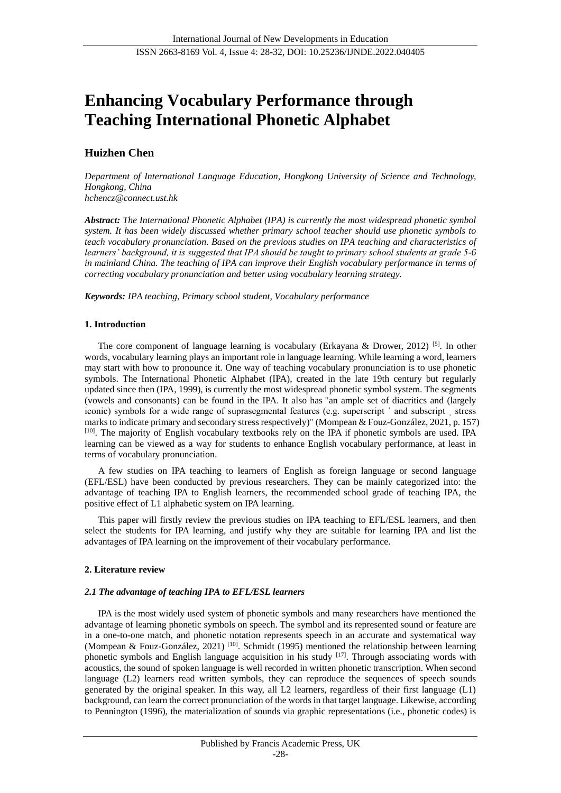# **Enhancing Vocabulary Performance through Teaching International Phonetic Alphabet**

# **Huizhen Chen**

*Department of International Language Education, Hongkong University of Science and Technology, Hongkong, China*

*hchencz@connect.ust.hk*

*Abstract: The International Phonetic Alphabet (IPA) is currently the most widespread phonetic symbol system. It has been widely discussed whether primary school teacher should use phonetic symbols to teach vocabulary pronunciation. Based on the previous studies on IPA teaching and characteristics of learners' background, it is suggested that IPA should be taught to primary school students at grade 5-6*  in mainland China. The teaching of IPA can improve their English vocabulary performance in terms of *correcting vocabulary pronunciation and better using vocabulary learning strategy.*

*Keywords: IPA teaching, Primary school student, Vocabulary performance*

# **1. Introduction**

The core component of language learning is vocabulary (Erkayana & Drower, 2012) [5]. In other words, vocabulary learning plays an important role in language learning. While learning a word, learners may start with how to pronounce it. One way of teaching vocabulary pronunciation is to use phonetic symbols. The International Phonetic Alphabet (IPA), created in the late 19th century but regularly updated since then [\(IPA, 1999\)](https://journals.sagepub.com/doi/full/10.1177/0033688220943431), is currently the most widespread phonetic symbol system. The segments (vowels and consonants) can be found in the IPA. It also has "an ample set of diacritics and (largely iconic) symbols for a wide range of suprasegmental features (e.g. superscript  $\alpha$  and subscript stress marks to indicate primary and secondary stress respectively)" (Mompean & Fouz-González, 2021, p. 157) [10]. The majority of English vocabulary textbooks rely on the IPA if phonetic symbols are used. IPA learning can be viewed as a way for students to enhance English vocabulary performance, at least in terms of vocabulary pronunciation.

A few studies on IPA teaching to learners of English as foreign language or second language (EFL/ESL) have been conducted by previous researchers. They can be mainly categorized into: the advantage of teaching IPA to English learners, the recommended school grade of teaching IPA, the positive effect of L1 alphabetic system on IPA learning.

This paper will firstly review the previous studies on IPA teaching to EFL/ESL learners, and then select the students for IPA learning, and justify why they are suitable for learning IPA and list the advantages of IPA learning on the improvement of their vocabulary performance.

# **2. Literature review**

### *2.1 The advantage of teaching IPA to EFL/ESL learners*

IPA is the most widely used system of phonetic symbols and many researchers have mentioned the advantage of learning phonetic symbols on speech. The symbol and its represented sound or feature are in a one-to-one match, and phonetic notation represents speech in an accurate and systematical way (Mompean & Fouz-Gonz aez, 2021)<sup>[10]</sup>. Schmidt (1995) mentioned the relationship between learning phonetic symbols and English language acquisition in his study [17]. Through associating words with acoustics, the sound of spoken language is well recorded in written phonetic transcription. When second language (L2) learners read written symbols, they can reproduce the sequences of speech sounds generated by the original speaker. In this way, all L2 learners, regardless of their first language (L1) background, can learn the correct pronunciation of the words in that target language. Likewise, according to Pennington (1996), the materialization of sounds via graphic representations (i.e., phonetic codes) is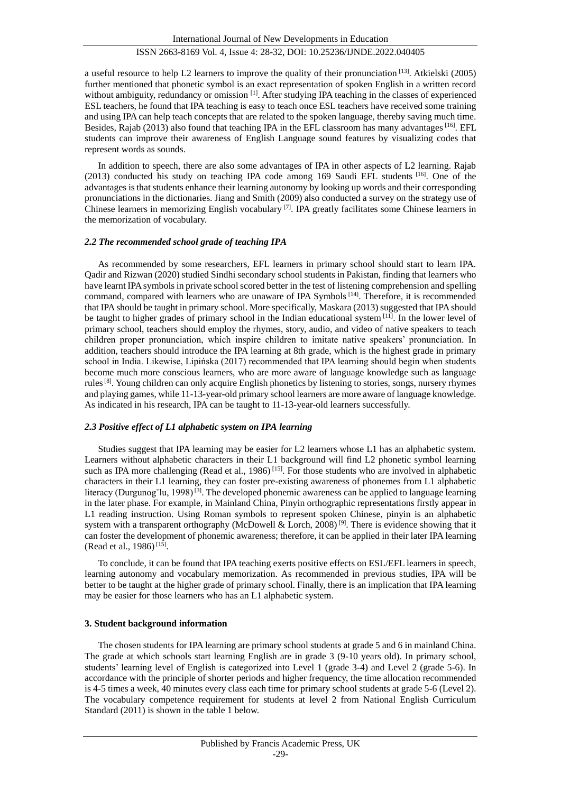a useful resource to help L2 learners to improve the quality of their pronunciation [13]. Atkielski (2005) further mentioned that phonetic symbol is an exact representation of spoken English in a written record without ambiguity, redundancy or omission <sup>[1]</sup>. After studying IPA teaching in the classes of experienced ESL teachers, he found that IPA teaching is easy to teach once ESL teachers have received some training and using IPA can help teach concepts that are related to the spoken language, thereby saving much time. Besides, Rajab (2013) also found that teaching IPA in the EFL classroom has many advantages [16]. EFL students can improve their awareness of English Language sound features by visualizing codes that represent words as sounds.

In addition to speech, there are also some advantages of IPA in other aspects of L2 learning. Rajab (2013) conducted his study on teaching IPA code among 169 Saudi EFL students  $[16]$ . One of the advantages is that students enhance their learning autonomy by looking up words and their corresponding pronunciations in the dictionaries. Jiang and Smith (2009) also conducted a survey on the strategy use of Chinese learners in memorizing English vocabulary  $\left[7\right]$ . IPA greatly facilitates some Chinese learners in the memorization of vocabulary.

### *2.2 The recommended school grade of teaching IPA*

As recommended by some researchers, EFL learners in primary school should start to learn IPA. Qadir and Rizwan (2020) studied Sindhi secondary school students in Pakistan, finding that learners who have learnt IPA symbols in private school scored better in the test of listening comprehension and spelling command, compared with learners who are unaware of IPA Symbols [14]. Therefore, it is recommended that IPA should be taught in primary school. More specifically, Maskara (2013) suggested that IPA should be taught to higher grades of primary school in the Indian educational system [11]. In the lower level of primary school, teachers should employ the rhymes, story, audio, and video of native speakers to teach children proper pronunciation, which inspire children to imitate native speakers' pronunciation. In addition, teachers should introduce the IPA learning at 8th grade, which is the highest grade in primary school in India. Likewise, Lipińska (2017) recommended that IPA learning should begin when students become much more conscious learners, who are more aware of language knowledge such as language rules<sup>[8]</sup>. Young children can only acquire English phonetics by listening to stories, songs, nursery rhymes and playing games, while 11-13-year-old primary school learners are more aware of language knowledge. As indicated in his research, IPA can be taught to 11-13-year-old learners successfully.

### *2.3 Positive effect of L1 alphabetic system on IPA learning*

Studies suggest that IPA learning may be easier for L2 learners whose L1 has an alphabetic system. Learners without alphabetic characters in their L1 background will find L2 phonetic symbol learning such as IPA more challenging (Read et al., 1986)<sup>[15]</sup>. For those students who are involved in alphabetic characters in their L1 learning, they can foster pre-existing awareness of phonemes from L1 alphabetic literacy (Durgunog<sup>v</sup>lu, 1998)<sup>[3]</sup>. The developed phonemic awareness can be applied to language learning in the later phase. For example, in Mainland China, Pinyin orthographic representations firstly appear in L1 reading instruction. Using Roman symbols to represent spoken Chinese, pinyin is an alphabetic system with a transparent orthography (McDowell & Lorch, 2008)<sup>[9]</sup>. There is evidence showing that it can foster the development of phonemic awareness; therefore, it can be applied in their later IPA learning (Read et al., 1986)<sup>[15]</sup>.

To conclude, it can be found that IPA teaching exerts positive effects on ESL/EFL learners in speech, learning autonomy and vocabulary memorization. As recommended in previous studies, IPA will be better to be taught at the higher grade of primary school. Finally, there is an implication that IPA learning may be easier for those learners who has an L1 alphabetic system.

#### **3. Student background information**

The chosen students for IPA learning are primary school students at grade 5 and 6 in mainland China. The grade at which schools start learning English are in grade 3 (9-10 years old). In primary school, students' learning level of English is categorized into Level 1 (grade 3-4) and Level 2 (grade 5-6). In accordance with the principle of shorter periods and higher frequency, the time allocation recommended is 4-5 times a week, 40 minutes every class each time for primary school students at grade 5-6 (Level 2). The vocabulary competence requirement for students at level 2 from National English Curriculum Standard (2011) is shown in the table 1 below.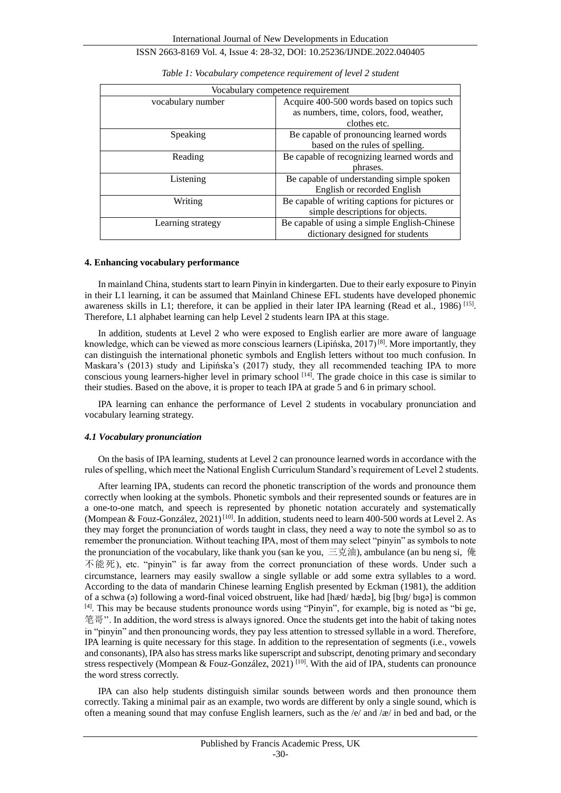| Vocabulary competence requirement |                                                |  |
|-----------------------------------|------------------------------------------------|--|
| vocabulary number                 | Acquire 400-500 words based on topics such     |  |
|                                   | as numbers, time, colors, food, weather,       |  |
|                                   | clothes etc.                                   |  |
| Speaking                          | Be capable of pronouncing learned words        |  |
|                                   | based on the rules of spelling.                |  |
| Reading                           | Be capable of recognizing learned words and    |  |
|                                   | phrases.                                       |  |
| Listening                         | Be capable of understanding simple spoken      |  |
|                                   | English or recorded English                    |  |
| Writing                           | Be capable of writing captions for pictures or |  |
|                                   | simple descriptions for objects.               |  |
| Learning strategy                 | Be capable of using a simple English-Chinese   |  |
|                                   | dictionary designed for students               |  |

| Table 1: Vocabulary competence requirement of level 2 student |  |  |
|---------------------------------------------------------------|--|--|
|                                                               |  |  |

#### **4. Enhancing vocabulary performance**

In mainland China, students start to learn Pinyin in kindergarten. Due to their early exposure to Pinyin in their L1 learning, it can be assumed that Mainland Chinese EFL students have developed phonemic awareness skills in L1; therefore, it can be applied in their later IPA learning (Read et al., 1986)<sup>[15]</sup>. Therefore, L1 alphabet learning can help Level 2 students learn IPA at this stage.

In addition, students at Level 2 who were exposed to English earlier are more aware of language knowledge, which can be viewed as more conscious learners (Lipińska, 2017)<sup>[8]</sup>. More importantly, they can distinguish the international phonetic symbols and English letters without too much confusion. In Maskara's (2013) study and Lipińska's (2017) study, they all recommended teaching IPA to more conscious young learners-higher level in primary school [14]. The grade choice in this case is similar to their studies. Based on the above, it is proper to teach IPA at grade 5 and 6 in primary school.

IPA learning can enhance the performance of Level 2 students in vocabulary pronunciation and vocabulary learning strategy.

### *4.1 Vocabulary pronunciation*

On the basis of IPA learning, students at Level 2 can pronounce learned words in accordance with the rules of spelling, which meet the National English Curriculum Standard's requirement of Level 2 students.

After learning IPA, students can record the phonetic transcription of the words and pronounce them correctly when looking at the symbols. Phonetic symbols and their represented sounds or features are in a one-to-one match, and speech is represented by phonetic notation accurately and systematically (Mompean & Fouz-Gonz *dez*, 2021)<sup>[10]</sup>. In addition, students need to learn 400-500 words at Level 2. As they may forget the pronunciation of words taught in class, they need a way to note the symbol so as to remember the pronunciation. Without teaching IPA, most of them may select "pinyin" as symbols to note the pronunciation of the vocabulary, like thank you (san ke you, 三克油), ambulance (an bu neng si, 俺 不能死), etc. "pinyin" is far away from the correct pronunciation of these words. Under such a circumstance, learners may easily swallow a single syllable or add some extra syllables to a word. According to the data of mandarin Chinese learning English presented by Eckman (1981), the addition of a schwa (ə) following a word-final voiced obstruent, like had [hæd/ hædə], big [bɪg/ bɪgə] is common [4]. This may be because students pronounce words using "Pinyin", for example, big is noted as "bi ge, 笔哥''. In addition, the word stress is always ignored. Once the students get into the habit of taking notes in "pinyin" and then pronouncing words, they pay less attention to stressed syllable in a word. Therefore, IPA learning is quite necessary for this stage. In addition to the representation of segments (i.e., vowels and consonants), IPA also has stress marks like superscript and subscript, denoting primary and secondary stress respectively (Mompean & Fouz-Gonz aez,  $2021$ )<sup>[10]</sup>. With the aid of IPA, students can pronounce the word stress correctly.

IPA can also help students distinguish similar sounds between words and then pronounce them correctly. Taking a minimal pair as an example, two words are different by only a single sound, which is often a meaning sound that may confuse English learners, such as the  $/e$  and  $\alpha$  in bed and bad, or the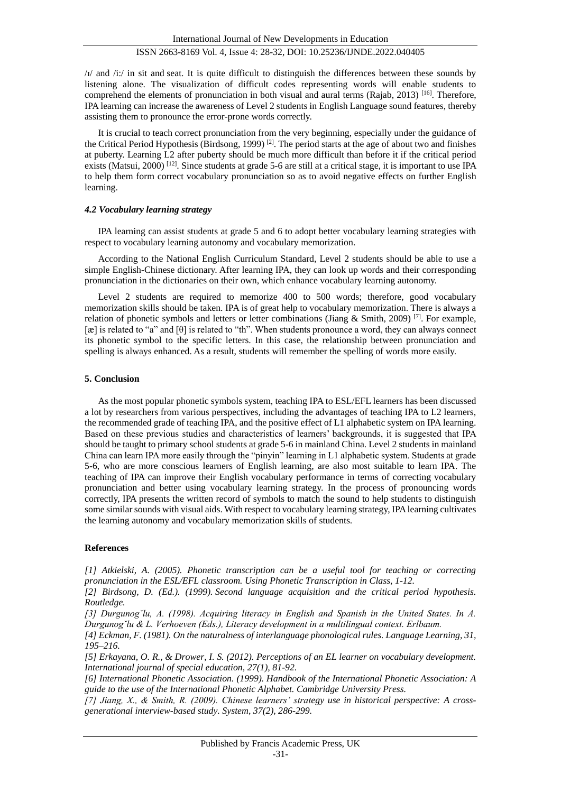$/1/$  and  $/1$ : in sit and seat. It is quite difficult to distinguish the differences between these sounds by listening alone. The visualization of difficult codes representing words will enable students to comprehend the elements of pronunciation in both visual and aural terms (Rajab, 2013) [16]. Therefore, IPA learning can increase the awareness of Level 2 students in English Language sound features, thereby assisting them to pronounce the error-prone words correctly.

It is crucial to teach correct pronunciation from the very beginning, especially under the guidance of the Critical Period Hypothesis (Birdsong, 1999)<sup>[2]</sup>. The period starts at the age of about two and finishes at puberty. Learning L2 after puberty should be much more difficult than before it if the critical period exists (Matsui, 2000)<sup>[12]</sup>. Since students at grade 5-6 are still at a critical stage, it is important to use IPA to help them form correct vocabulary pronunciation so as to avoid negative effects on further English learning.

### *4.2 Vocabulary learning strategy*

IPA learning can assist students at grade 5 and 6 to adopt better vocabulary learning strategies with respect to vocabulary learning autonomy and vocabulary memorization.

According to the National English Curriculum Standard, Level 2 students should be able to use a simple English-Chinese dictionary. After learning IPA, they can look up words and their corresponding pronunciation in the dictionaries on their own, which enhance vocabulary learning autonomy.

Level 2 students are required to memorize 400 to 500 words; therefore, good vocabulary memorization skills should be taken. IPA is of great help to vocabulary memorization. There is always a relation of phonetic symbols and letters or letter combinations (Jiang & Smith, 2009) [7]. For example, [æ] is related to "a" and [θ] is related to "th". When students pronounce a word, they can always connect its phonetic symbol to the specific letters. In this case, the relationship between pronunciation and spelling is always enhanced. As a result, students will remember the spelling of words more easily.

### **5. Conclusion**

As the most popular phonetic symbols system, teaching IPA to ESL/EFL learners has been discussed a lot by researchers from various perspectives, including the advantages of teaching IPA to L2 learners, the recommended grade of teaching IPA, and the positive effect of L1 alphabetic system on IPA learning. Based on these previous studies and characteristics of learners' backgrounds, it is suggested that IPA should be taught to primary school students at grade 5-6 in mainland China. Level 2 students in mainland China can learn IPA more easily through the "pinyin" learning in L1 alphabetic system. Students at grade 5-6, who are more conscious learners of English learning, are also most suitable to learn IPA. The teaching of IPA can improve their English vocabulary performance in terms of correcting vocabulary pronunciation and better using vocabulary learning strategy. In the process of pronouncing words correctly, IPA presents the written record of symbols to match the sound to help students to distinguish some similar sounds with visual aids. With respect to vocabulary learning strategy, IPA learning cultivates the learning autonomy and vocabulary memorization skills of students.

### **References**

*[1] Atkielski, A. (2005). Phonetic transcription can be a useful tool for teaching or correcting pronunciation in the ESL/EFL classroom. Using Phonetic Transcription in Class, 1-12.*

*[2] Birdsong, D. (Ed.). (1999). Second language acquisition and the critical period hypothesis. Routledge.*

*[3] Durgunog˘lu, A. (1998). Acquiring literacy in English and Spanish in the United States. In A. Durgunog˘lu & L. Verhoeven (Eds.), Literacy development in a multilingual context. Erlbaum.*

*[4] Eckman, F. (1981). On the naturalness of interlanguage phonological rules. Language Learning, 31, 195–216.*

*[5] Erkayana, O. R., & Drower, I. S. (2012). Perceptions of an EL learner on vocabulary development. International journal of special education, 27(1), 81-92.*

*[6] International Phonetic Association. (1999). Handbook of the International Phonetic Association: A guide to the use of the International Phonetic Alphabet. Cambridge University Press.*

*[7] Jiang, X., & Smith, R. (2009). Chinese learners' strategy use in historical perspective: A crossgenerational interview-based study. System, 37(2), 286-299.*